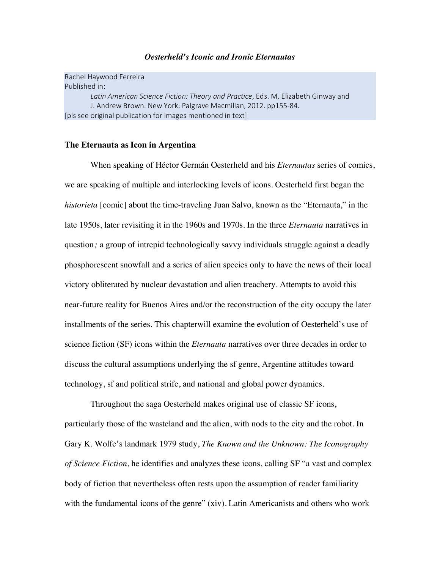## *Oesterheld's Iconic and Ironic Eternautas*

Rachel Haywood Ferreira Published in: *Latin American Science Fiction: Theory and Practice*, Eds. M. Elizabeth Ginway and J. Andrew Brown. New York: Palgrave Macmillan, 2012. pp155-84. [pls see original publication for images mentioned in text]

#### **The Eternauta as Icon in Argentina**

When speaking of Héctor Germán Oesterheld and his *Eternautas* series of comics, we are speaking of multiple and interlocking levels of icons. Oesterheld first began the *historieta* [comic] about the time-traveling Juan Salvo, known as the "Eternauta," in the late 1950s, later revisiting it in the 1960s and 1970s. In the three *Eternauta* narratives in question, a group of intrepid technologically savvy individuals struggle against a deadly phosphorescent snowfall and a series of alien species only to have the news of their local victory obliterated by nuclear devastation and alien treachery. Attempts to avoid this near-future reality for Buenos Aires and/or the reconstruction of the city occupy the later installments of the series. This chapterwill examine the evolution of Oesterheld's use of science fiction (SF) icons within the *Eternauta* narratives over three decades in order to discuss the cultural assumptions underlying the sf genre, Argentine attitudes toward technology, sf and political strife, and national and global power dynamics.

Throughout the saga Oesterheld makes original use of classic SF icons, particularly those of the wasteland and the alien, with nods to the city and the robot. In Gary K. Wolfe's landmark 1979 study, *The Known and the Unknown: The Iconography of Science Fiction*, he identifies and analyzes these icons, calling SF "a vast and complex body of fiction that nevertheless often rests upon the assumption of reader familiarity with the fundamental icons of the genre" (xiv). Latin Americanists and others who work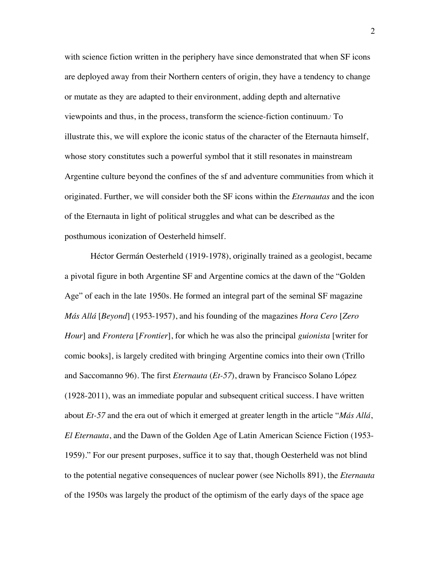with science fiction written in the periphery have since demonstrated that when SF icons are deployed away from their Northern centers of origin, they have a tendency to change or mutate as they are adapted to their environment, adding depth and alternative viewpoints and thus, in the process, transform the science-fiction continuum.2 To illustrate this, we will explore the iconic status of the character of the Eternauta himself, whose story constitutes such a powerful symbol that it still resonates in mainstream Argentine culture beyond the confines of the sf and adventure communities from which it originated. Further, we will consider both the SF icons within the *Eternautas* and the icon of the Eternauta in light of political struggles and what can be described as the posthumous iconization of Oesterheld himself.

Héctor Germán Oesterheld (1919-1978), originally trained as a geologist, became a pivotal figure in both Argentine SF and Argentine comics at the dawn of the "Golden Age" of each in the late 1950s. He formed an integral part of the seminal SF magazine *Más Allá* [*Beyond*] (1953-1957), and his founding of the magazines *Hora Cero* [*Zero Hour*] and *Frontera* [*Frontier*], for which he was also the principal *guionista* [writer for comic books], is largely credited with bringing Argentine comics into their own (Trillo and Saccomanno 96). The first *Eternauta* (*Et-57*), drawn by Francisco Solano López (1928-2011), was an immediate popular and subsequent critical success. I have written about *Et-57* and the era out of which it emerged at greater length in the article "*Más Allá*, *El Eternauta*, and the Dawn of the Golden Age of Latin American Science Fiction (1953- 1959)." For our present purposes, suffice it to say that, though Oesterheld was not blind to the potential negative consequences of nuclear power (see Nicholls 891), the *Eternauta* of the 1950s was largely the product of the optimism of the early days of the space age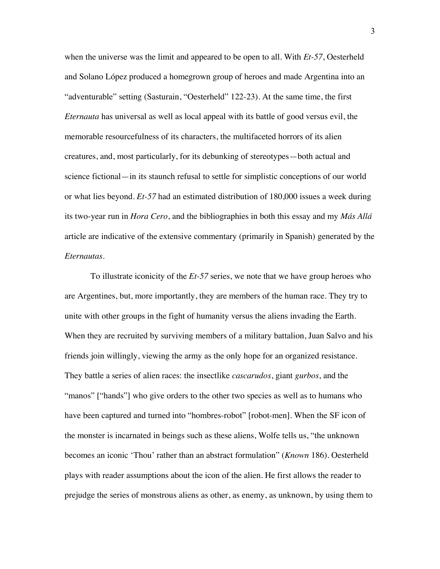when the universe was the limit and appeared to be open to all. With *Et-57*, Oesterheld and Solano López produced a homegrown group of heroes and made Argentina into an "adventurable" setting (Sasturain, "Oesterheld" 122-23). At the same time, the first *Eternauta* has universal as well as local appeal with its battle of good versus evil, the memorable resourcefulness of its characters, the multifaceted horrors of its alien creatures, and, most particularly, for its debunking of stereotypes—both actual and science fictional—in its staunch refusal to settle for simplistic conceptions of our world or what lies beyond. *Et-57* had an estimated distribution of 180,000 issues a week during its two-year run in *Hora Cero*, and the bibliographies in both this essay and my *Más Allá* article are indicative of the extensive commentary (primarily in Spanish) generated by the *Eternautas*.

To illustrate iconicity of the *Et-57* series, we note that we have group heroes who are Argentines, but, more importantly, they are members of the human race. They try to unite with other groups in the fight of humanity versus the aliens invading the Earth. When they are recruited by surviving members of a military battalion, Juan Salvo and his friends join willingly, viewing the army as the only hope for an organized resistance. They battle a series of alien races: the insectlike *cascarudos*, giant *gurbos*, and the "manos" ["hands"] who give orders to the other two species as well as to humans who have been captured and turned into "hombres-robot" [robot-men]. When the SF icon of the monster is incarnated in beings such as these aliens, Wolfe tells us, "the unknown becomes an iconic 'Thou' rather than an abstract formulation" (*Known* 186). Oesterheld plays with reader assumptions about the icon of the alien. He first allows the reader to prejudge the series of monstrous aliens as other, as enemy, as unknown, by using them to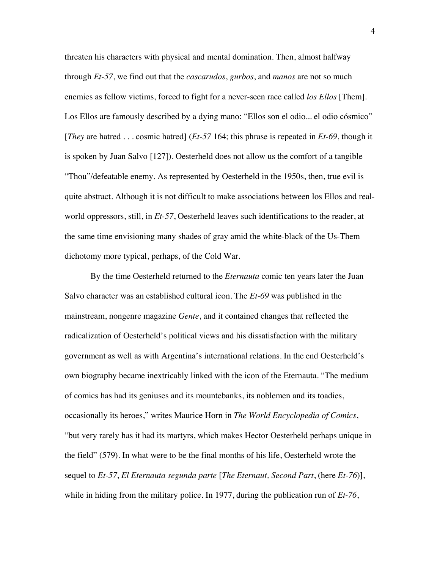threaten his characters with physical and mental domination. Then, almost halfway through *Et-57*, we find out that the *cascarudos*, *gurbos*, and *manos* are not so much enemies as fellow victims, forced to fight for a never-seen race called *los Ellos* [Them]. Los Ellos are famously described by a dying mano: "Ellos son el odio... el odio cósmico" [*They* are hatred . . . cosmic hatred] (*Et-57* 164; this phrase is repeated in *Et-69*, though it is spoken by Juan Salvo [127]). Oesterheld does not allow us the comfort of a tangible "Thou"/defeatable enemy. As represented by Oesterheld in the 1950s, then, true evil is quite abstract. Although it is not difficult to make associations between los Ellos and realworld oppressors, still, in *Et-57*, Oesterheld leaves such identifications to the reader, at the same time envisioning many shades of gray amid the white-black of the Us-Them dichotomy more typical, perhaps, of the Cold War.

By the time Oesterheld returned to the *Eternauta* comic ten years later the Juan Salvo character was an established cultural icon. The *Et-69* was published in the mainstream, nongenre magazine *Gente*, and it contained changes that reflected the radicalization of Oesterheld's political views and his dissatisfaction with the military government as well as with Argentina's international relations. In the end Oesterheld's own biography became inextricably linked with the icon of the Eternauta. "The medium of comics has had its geniuses and its mountebanks, its noblemen and its toadies, occasionally its heroes," writes Maurice Horn in *The World Encyclopedia of Comics*, "but very rarely has it had its martyrs, which makes Hector Oesterheld perhaps unique in the field" (579). In what were to be the final months of his life, Oesterheld wrote the sequel to *Et-57*, *El Eternauta segunda parte* [*The Eternaut, Second Part*, (here *Et-76*)], while in hiding from the military police. In 1977, during the publication run of *Et-76*,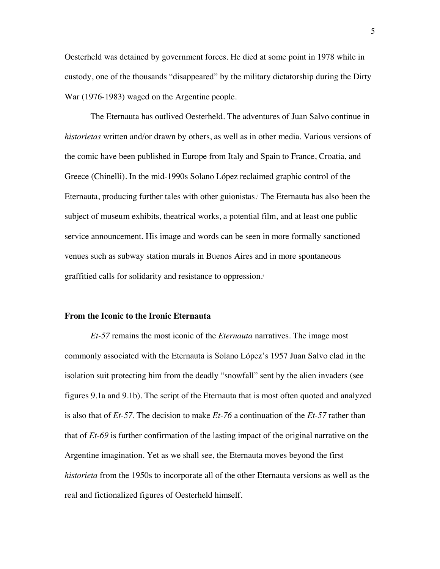Oesterheld was detained by government forces. He died at some point in 1978 while in custody, one of the thousands "disappeared" by the military dictatorship during the Dirty War (1976-1983) waged on the Argentine people.

The Eternauta has outlived Oesterheld. The adventures of Juan Salvo continue in *historietas* written and/or drawn by others, as well as in other media. Various versions of the comic have been published in Europe from Italy and Spain to France, Croatia, and Greece (Chinelli). In the mid-1990s Solano López reclaimed graphic control of the Eternauta, producing further tales with other guionistas. <sup>3</sup> The Eternauta has also been the subject of museum exhibits, theatrical works, a potential film, and at least one public service announcement. His image and words can be seen in more formally sanctioned venues such as subway station murals in Buenos Aires and in more spontaneous graffitied calls for solidarity and resistance to oppression.4

## **From the Iconic to the Ironic Eternauta**

*Et-57* remains the most iconic of the *Eternauta* narratives. The image most commonly associated with the Eternauta is Solano López's 1957 Juan Salvo clad in the isolation suit protecting him from the deadly "snowfall" sent by the alien invaders (see figures 9.1a and 9.1b). The script of the Eternauta that is most often quoted and analyzed is also that of *Et-57*. The decision to make *Et-76* a continuation of the *Et-57* rather than that of *Et-69* is further confirmation of the lasting impact of the original narrative on the Argentine imagination. Yet as we shall see, the Eternauta moves beyond the first *historieta* from the 1950s to incorporate all of the other Eternauta versions as well as the real and fictionalized figures of Oesterheld himself.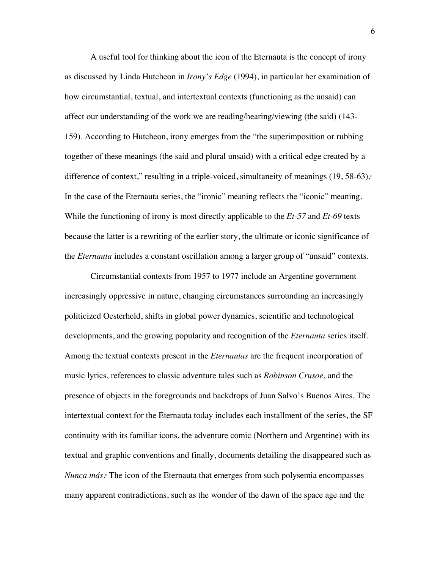A useful tool for thinking about the icon of the Eternauta is the concept of irony as discussed by Linda Hutcheon in *Irony's Edge* (1994), in particular her examination of how circumstantial, textual, and intertextual contexts (functioning as the unsaid) can affect our understanding of the work we are reading/hearing/viewing (the said) (143- 159). According to Hutcheon, irony emerges from the "the superimposition or rubbing together of these meanings (the said and plural unsaid) with a critical edge created by a difference of context," resulting in a triple-voiced, simultaneity of meanings  $(19, 58-63)$ . In the case of the Eternauta series, the "ironic" meaning reflects the "iconic" meaning. While the functioning of irony is most directly applicable to the *Et-57* and *Et-69* texts because the latter is a rewriting of the earlier story, the ultimate or iconic significance of the *Eternauta* includes a constant oscillation among a larger group of "unsaid" contexts.

Circumstantial contexts from 1957 to 1977 include an Argentine government increasingly oppressive in nature, changing circumstances surrounding an increasingly politicized Oesterheld, shifts in global power dynamics, scientific and technological developments, and the growing popularity and recognition of the *Eternauta* series itself. Among the textual contexts present in the *Eternautas* are the frequent incorporation of music lyrics, references to classic adventure tales such as *Robinson Crusoe*, and the presence of objects in the foregrounds and backdrops of Juan Salvo's Buenos Aires. The intertextual context for the Eternauta today includes each installment of the series, the SF continuity with its familiar icons, the adventure comic (Northern and Argentine) with its textual and graphic conventions and finally, documents detailing the disappeared such as *Nunca más*. <sup>6</sup> The icon of the Eternauta that emerges from such polysemia encompasses many apparent contradictions, such as the wonder of the dawn of the space age and the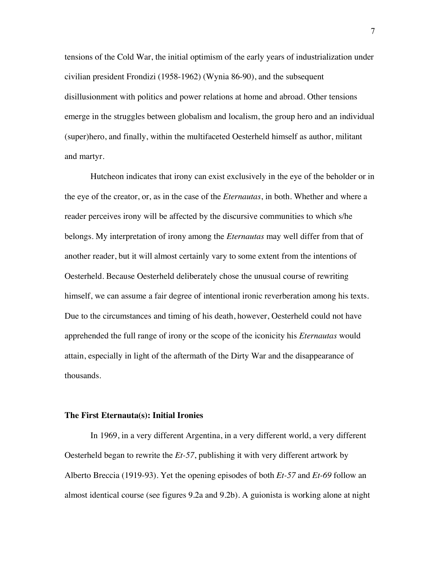tensions of the Cold War, the initial optimism of the early years of industrialization under civilian president Frondizi (1958-1962) (Wynia 86-90), and the subsequent disillusionment with politics and power relations at home and abroad. Other tensions emerge in the struggles between globalism and localism, the group hero and an individual (super)hero, and finally, within the multifaceted Oesterheld himself as author, militant and martyr.

Hutcheon indicates that irony can exist exclusively in the eye of the beholder or in the eye of the creator, or, as in the case of the *Eternautas*, in both. Whether and where a reader perceives irony will be affected by the discursive communities to which s/he belongs. My interpretation of irony among the *Eternautas* may well differ from that of another reader, but it will almost certainly vary to some extent from the intentions of Oesterheld. Because Oesterheld deliberately chose the unusual course of rewriting himself, we can assume a fair degree of intentional ironic reverberation among his texts. Due to the circumstances and timing of his death, however, Oesterheld could not have apprehended the full range of irony or the scope of the iconicity his *Eternautas* would attain, especially in light of the aftermath of the Dirty War and the disappearance of thousands.

## **The First Eternauta(s): Initial Ironies**

In 1969, in a very different Argentina, in a very different world, a very different Oesterheld began to rewrite the *Et-57*, publishing it with very different artwork by Alberto Breccia (1919-93). Yet the opening episodes of both *Et-57* and *Et-69* follow an almost identical course (see figures 9.2a and 9.2b). A guionista is working alone at night

7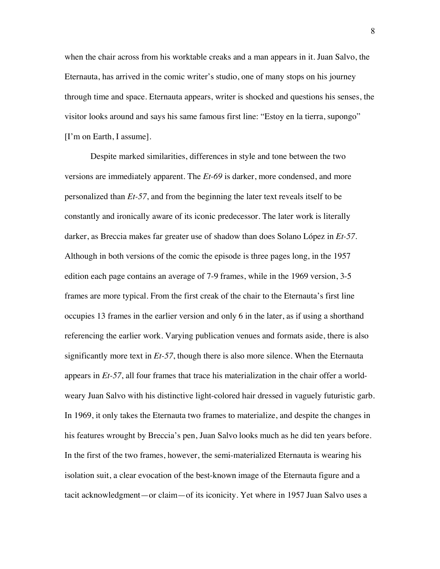when the chair across from his worktable creaks and a man appears in it. Juan Salvo, the Eternauta, has arrived in the comic writer's studio, one of many stops on his journey through time and space. Eternauta appears, writer is shocked and questions his senses, the visitor looks around and says his same famous first line: "Estoy en la tierra, supongo" [I'm on Earth, I assume].

Despite marked similarities, differences in style and tone between the two versions are immediately apparent. The *Et-69* is darker, more condensed, and more personalized than *Et-57*, and from the beginning the later text reveals itself to be constantly and ironically aware of its iconic predecessor. The later work is literally darker, as Breccia makes far greater use of shadow than does Solano López in *Et-57*. Although in both versions of the comic the episode is three pages long, in the 1957 edition each page contains an average of 7-9 frames, while in the 1969 version, 3-5 frames are more typical. From the first creak of the chair to the Eternauta's first line occupies 13 frames in the earlier version and only 6 in the later, as if using a shorthand referencing the earlier work. Varying publication venues and formats aside, there is also significantly more text in *Et-57*, though there is also more silence. When the Eternauta appears in *Et-57*, all four frames that trace his materialization in the chair offer a worldweary Juan Salvo with his distinctive light-colored hair dressed in vaguely futuristic garb. In 1969, it only takes the Eternauta two frames to materialize, and despite the changes in his features wrought by Breccia's pen, Juan Salvo looks much as he did ten years before. In the first of the two frames, however, the semi-materialized Eternauta is wearing his isolation suit, a clear evocation of the best-known image of the Eternauta figure and a tacit acknowledgment—or claim—of its iconicity. Yet where in 1957 Juan Salvo uses a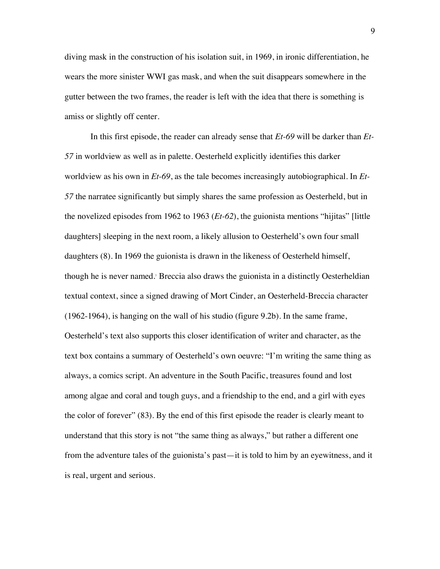diving mask in the construction of his isolation suit, in 1969, in ironic differentiation, he wears the more sinister WWI gas mask, and when the suit disappears somewhere in the gutter between the two frames, the reader is left with the idea that there is something is amiss or slightly off center.

In this first episode, the reader can already sense that *Et-69* will be darker than *Et-57* in worldview as well as in palette. Oesterheld explicitly identifies this darker worldview as his own in *Et-69*, as the tale becomes increasingly autobiographical. In *Et-57* the narratee significantly but simply shares the same profession as Oesterheld, but in the novelized episodes from 1962 to 1963 (*Et-62*), the guionista mentions "hijitas" [little daughters] sleeping in the next room, a likely allusion to Oesterheld's own four small daughters (8). In 1969 the guionista is drawn in the likeness of Oesterheld himself, though he is never named.<sup>7</sup> Breccia also draws the guionista in a distinctly Oesterheldian textual context, since a signed drawing of Mort Cinder, an Oesterheld-Breccia character (1962-1964), is hanging on the wall of his studio (figure 9.2b). In the same frame, Oesterheld's text also supports this closer identification of writer and character, as the text box contains a summary of Oesterheld's own oeuvre: "I'm writing the same thing as always, a comics script. An adventure in the South Pacific, treasures found and lost among algae and coral and tough guys, and a friendship to the end, and a girl with eyes the color of forever" (83). By the end of this first episode the reader is clearly meant to understand that this story is not "the same thing as always," but rather a different one from the adventure tales of the guionista's past—it is told to him by an eyewitness, and it is real, urgent and serious.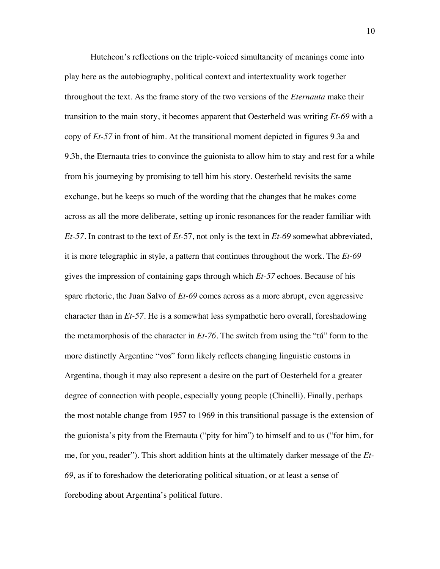Hutcheon's reflections on the triple-voiced simultaneity of meanings come into play here as the autobiography, political context and intertextuality work together throughout the text. As the frame story of the two versions of the *Eternauta* make their transition to the main story, it becomes apparent that Oesterheld was writing *Et-69* with a copy of *Et-57* in front of him. At the transitional moment depicted in figures 9.3a and 9.3b, the Eternauta tries to convince the guionista to allow him to stay and rest for a while from his journeying by promising to tell him his story. Oesterheld revisits the same exchange, but he keeps so much of the wording that the changes that he makes come across as all the more deliberate, setting up ironic resonances for the reader familiar with *Et-57*. In contrast to the text of *Et-*57, not only is the text in *Et-69* somewhat abbreviated, it is more telegraphic in style, a pattern that continues throughout the work. The *Et-69*  gives the impression of containing gaps through which *Et-57* echoes. Because of his spare rhetoric, the Juan Salvo of *Et-69* comes across as a more abrupt, even aggressive character than in *Et-57*. He is a somewhat less sympathetic hero overall, foreshadowing the metamorphosis of the character in *Et-76*. The switch from using the "tú" form to the more distinctly Argentine "vos" form likely reflects changing linguistic customs in Argentina, though it may also represent a desire on the part of Oesterheld for a greater degree of connection with people, especially young people (Chinelli). Finally, perhaps the most notable change from 1957 to 1969 in this transitional passage is the extension of the guionista's pity from the Eternauta ("pity for him") to himself and to us ("for him, for me, for you, reader"). This short addition hints at the ultimately darker message of the *Et-69,* as if to foreshadow the deteriorating political situation, or at least a sense of foreboding about Argentina's political future.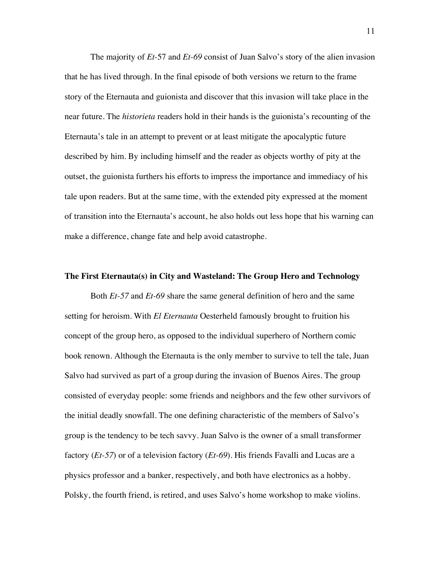The majority of *Et-*57 and *Et-69* consist of Juan Salvo's story of the alien invasion that he has lived through. In the final episode of both versions we return to the frame story of the Eternauta and guionista and discover that this invasion will take place in the near future. The *historieta* readers hold in their hands is the guionista's recounting of the Eternauta's tale in an attempt to prevent or at least mitigate the apocalyptic future described by him. By including himself and the reader as objects worthy of pity at the outset, the guionista furthers his efforts to impress the importance and immediacy of his tale upon readers. But at the same time, with the extended pity expressed at the moment of transition into the Eternauta's account, he also holds out less hope that his warning can make a difference, change fate and help avoid catastrophe.

#### **The First Eternauta(s) in City and Wasteland: The Group Hero and Technology**

Both *Et-57* and *Et-69* share the same general definition of hero and the same setting for heroism. With *El Eternauta* Oesterheld famously brought to fruition his concept of the group hero, as opposed to the individual superhero of Northern comic book renown. Although the Eternauta is the only member to survive to tell the tale, Juan Salvo had survived as part of a group during the invasion of Buenos Aires. The group consisted of everyday people: some friends and neighbors and the few other survivors of the initial deadly snowfall. The one defining characteristic of the members of Salvo's group is the tendency to be tech savvy. Juan Salvo is the owner of a small transformer factory (*Et-57*) or of a television factory (*Et-69*). His friends Favalli and Lucas are a physics professor and a banker, respectively, and both have electronics as a hobby. Polsky, the fourth friend, is retired, and uses Salvo's home workshop to make violins.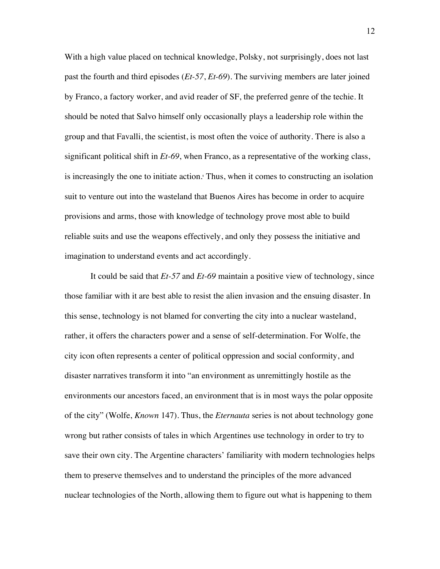With a high value placed on technical knowledge, Polsky, not surprisingly, does not last past the fourth and third episodes (*Et-57*, *Et-69*). The surviving members are later joined by Franco, a factory worker, and avid reader of SF, the preferred genre of the techie. It should be noted that Salvo himself only occasionally plays a leadership role within the group and that Favalli, the scientist, is most often the voice of authority. There is also a significant political shift in *Et-69*, when Franco, as a representative of the working class, is increasingly the one to initiate action.<sup>8</sup> Thus, when it comes to constructing an isolation suit to venture out into the wasteland that Buenos Aires has become in order to acquire provisions and arms, those with knowledge of technology prove most able to build reliable suits and use the weapons effectively, and only they possess the initiative and imagination to understand events and act accordingly.

It could be said that *Et-57* and *Et-69* maintain a positive view of technology, since those familiar with it are best able to resist the alien invasion and the ensuing disaster. In this sense, technology is not blamed for converting the city into a nuclear wasteland, rather, it offers the characters power and a sense of self-determination. For Wolfe, the city icon often represents a center of political oppression and social conformity, and disaster narratives transform it into "an environment as unremittingly hostile as the environments our ancestors faced, an environment that is in most ways the polar opposite of the city" (Wolfe, *Known* 147). Thus, the *Eternauta* series is not about technology gone wrong but rather consists of tales in which Argentines use technology in order to try to save their own city. The Argentine characters' familiarity with modern technologies helps them to preserve themselves and to understand the principles of the more advanced nuclear technologies of the North, allowing them to figure out what is happening to them

12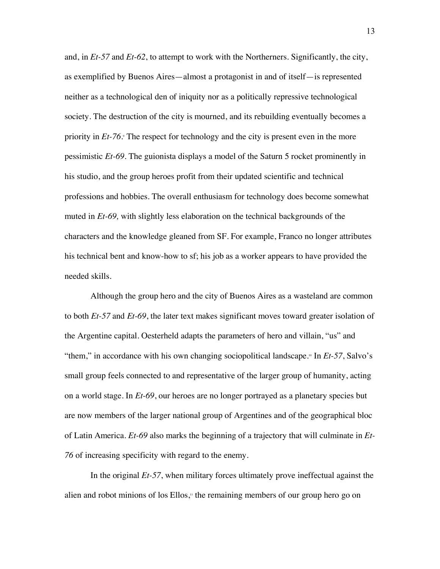and, in *Et-57* and *Et-62*, to attempt to work with the Northerners. Significantly, the city, as exemplified by Buenos Aires—almost a protagonist in and of itself—is represented neither as a technological den of iniquity nor as a politically repressive technological society. The destruction of the city is mourned, and its rebuilding eventually becomes a priority in *Et-76*. The respect for technology and the city is present even in the more pessimistic *Et-69*. The guionista displays a model of the Saturn 5 rocket prominently in his studio, and the group heroes profit from their updated scientific and technical professions and hobbies. The overall enthusiasm for technology does become somewhat muted in *Et-69,* with slightly less elaboration on the technical backgrounds of the characters and the knowledge gleaned from SF. For example, Franco no longer attributes his technical bent and know-how to sf; his job as a worker appears to have provided the needed skills.

Although the group hero and the city of Buenos Aires as a wasteland are common to both *Et-57* and *Et-69*, the later text makes significant moves toward greater isolation of the Argentine capital. Oesterheld adapts the parameters of hero and villain, "us" and "them," in accordance with his own changing sociopolitical landscape.10 In *Et-57*, Salvo's small group feels connected to and representative of the larger group of humanity, acting on a world stage. In *Et-69*, our heroes are no longer portrayed as a planetary species but are now members of the larger national group of Argentines and of the geographical bloc of Latin America. *Et-69* also marks the beginning of a trajectory that will culminate in *Et-76* of increasing specificity with regard to the enemy.

In the original *Et-57*, when military forces ultimately prove ineffectual against the alien and robot minions of los Ellos,<sup>11</sup> the remaining members of our group hero go on

13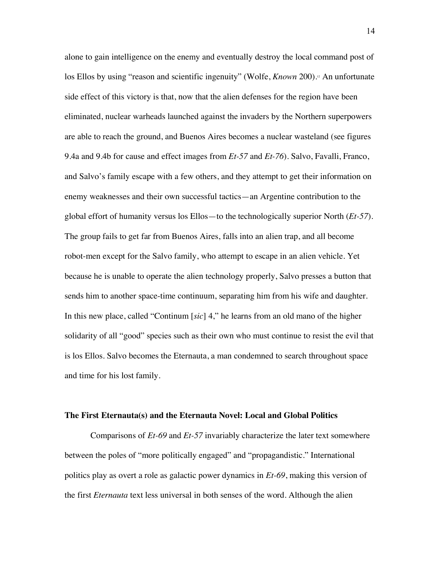alone to gain intelligence on the enemy and eventually destroy the local command post of los Ellos by using "reason and scientific ingenuity" (Wolfe, *Known* 200).<sup>12</sup> An unfortunate side effect of this victory is that, now that the alien defenses for the region have been eliminated, nuclear warheads launched against the invaders by the Northern superpowers are able to reach the ground, and Buenos Aires becomes a nuclear wasteland (see figures 9.4a and 9.4b for cause and effect images from *Et-57* and *Et-76*). Salvo, Favalli, Franco, and Salvo's family escape with a few others, and they attempt to get their information on enemy weaknesses and their own successful tactics—an Argentine contribution to the global effort of humanity versus los Ellos—to the technologically superior North (*Et-57*). The group fails to get far from Buenos Aires, falls into an alien trap, and all become robot-men except for the Salvo family, who attempt to escape in an alien vehicle. Yet because he is unable to operate the alien technology properly, Salvo presses a button that sends him to another space-time continuum, separating him from his wife and daughter*.*  In this new place, called "Continum [*sic*] 4," he learns from an old mano of the higher solidarity of all "good" species such as their own who must continue to resist the evil that is los Ellos. Salvo becomes the Eternauta, a man condemned to search throughout space and time for his lost family.

### **The First Eternauta(s) and the Eternauta Novel: Local and Global Politics**

Comparisons of *Et-69* and *Et-57* invariably characterize the later text somewhere between the poles of "more politically engaged" and "propagandistic." International politics play as overt a role as galactic power dynamics in *Et-69*, making this version of the first *Eternauta* text less universal in both senses of the word. Although the alien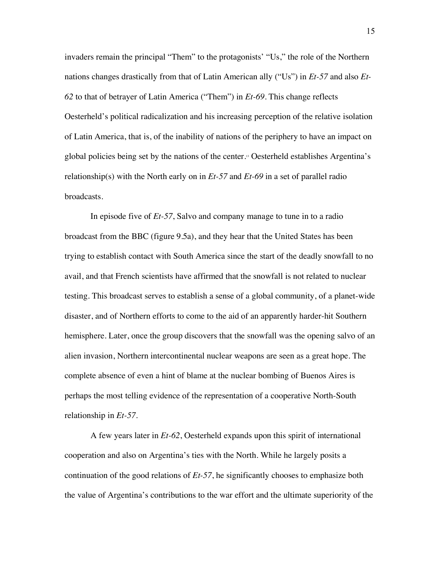invaders remain the principal "Them" to the protagonists' "Us," the role of the Northern nations changes drastically from that of Latin American ally ("Us") in *Et-57* and also *Et-62* to that of betrayer of Latin America ("Them") in *Et-69*. This change reflects Oesterheld's political radicalization and his increasing perception of the relative isolation of Latin America, that is, of the inability of nations of the periphery to have an impact on global policies being set by the nations of the center.13 Oesterheld establishes Argentina's relationship(s) with the North early on in *Et-57* and *Et-69* in a set of parallel radio broadcasts.

In episode five of *Et-57*, Salvo and company manage to tune in to a radio broadcast from the BBC (figure 9.5a), and they hear that the United States has been trying to establish contact with South America since the start of the deadly snowfall to no avail, and that French scientists have affirmed that the snowfall is not related to nuclear testing. This broadcast serves to establish a sense of a global community, of a planet-wide disaster, and of Northern efforts to come to the aid of an apparently harder-hit Southern hemisphere. Later, once the group discovers that the snowfall was the opening salvo of an alien invasion, Northern intercontinental nuclear weapons are seen as a great hope. The complete absence of even a hint of blame at the nuclear bombing of Buenos Aires is perhaps the most telling evidence of the representation of a cooperative North-South relationship in *Et-57*.

A few years later in *Et-62*, Oesterheld expands upon this spirit of international cooperation and also on Argentina's ties with the North. While he largely posits a continuation of the good relations of *Et-57*, he significantly chooses to emphasize both the value of Argentina's contributions to the war effort and the ultimate superiority of the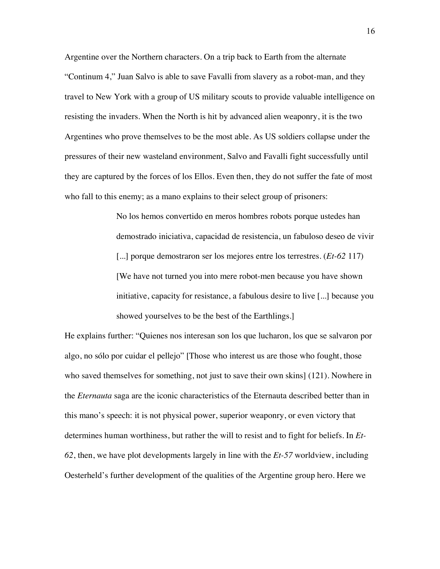Argentine over the Northern characters. On a trip back to Earth from the alternate "Continum 4," Juan Salvo is able to save Favalli from slavery as a robot-man, and they travel to New York with a group of US military scouts to provide valuable intelligence on resisting the invaders. When the North is hit by advanced alien weaponry, it is the two Argentines who prove themselves to be the most able. As US soldiers collapse under the pressures of their new wasteland environment, Salvo and Favalli fight successfully until they are captured by the forces of los Ellos. Even then, they do not suffer the fate of most who fall to this enemy; as a mano explains to their select group of prisoners:

> No los hemos convertido en meros hombres robots porque ustedes han demostrado iniciativa, capacidad de resistencia, un fabuloso deseo de vivir [...] porque demostraron ser los mejores entre los terrestres. (*Et-62* 117) [We have not turned you into mere robot-men because you have shown initiative, capacity for resistance, a fabulous desire to live [...] because you showed yourselves to be the best of the Earthlings.]

He explains further: "Quienes nos interesan son los que lucharon, los que se salvaron por algo, no sólo por cuidar el pellejo" [Those who interest us are those who fought, those who saved themselves for something, not just to save their own skins] (121). Nowhere in the *Eternauta* saga are the iconic characteristics of the Eternauta described better than in this mano's speech: it is not physical power, superior weaponry, or even victory that determines human worthiness, but rather the will to resist and to fight for beliefs. In *Et-62*, then, we have plot developments largely in line with the *Et-57* worldview, including Oesterheld's further development of the qualities of the Argentine group hero. Here we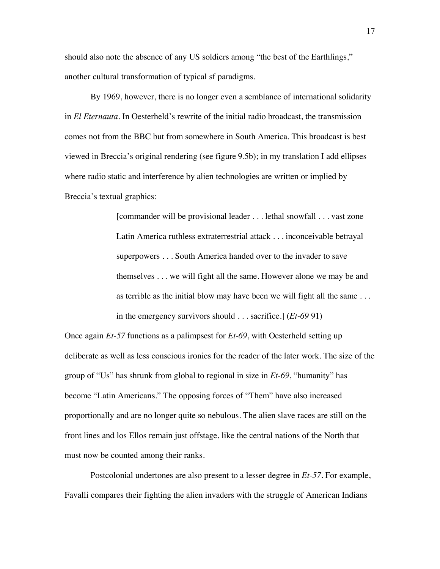should also note the absence of any US soldiers among "the best of the Earthlings," another cultural transformation of typical sf paradigms.

By 1969, however, there is no longer even a semblance of international solidarity in *El Eternauta*. In Oesterheld's rewrite of the initial radio broadcast, the transmission comes not from the BBC but from somewhere in South America. This broadcast is best viewed in Breccia's original rendering (see figure 9.5b); in my translation I add ellipses where radio static and interference by alien technologies are written or implied by Breccia's textual graphics:

> [commander will be provisional leader . . . lethal snowfall . . . vast zone Latin America ruthless extraterrestrial attack . . . inconceivable betrayal superpowers . . . South America handed over to the invader to save themselves . . . we will fight all the same. However alone we may be and as terrible as the initial blow may have been we will fight all the same . . . in the emergency survivors should . . . sacrifice.] (*Et-69* 91)

Once again *Et-57* functions as a palimpsest for *Et-69*, with Oesterheld setting up deliberate as well as less conscious ironies for the reader of the later work. The size of the group of "Us" has shrunk from global to regional in size in *Et-69*, "humanity" has become "Latin Americans." The opposing forces of "Them" have also increased proportionally and are no longer quite so nebulous. The alien slave races are still on the front lines and los Ellos remain just offstage, like the central nations of the North that must now be counted among their ranks.

Postcolonial undertones are also present to a lesser degree in *Et-57*. For example, Favalli compares their fighting the alien invaders with the struggle of American Indians

17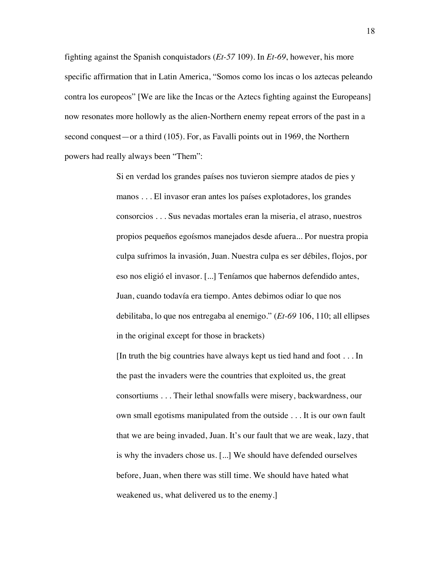fighting against the Spanish conquistadors (*Et-57* 109). In *Et-69*, however, his more specific affirmation that in Latin America, "Somos como los incas o los aztecas peleando contra los europeos" [We are like the Incas or the Aztecs fighting against the Europeans] now resonates more hollowly as the alien-Northern enemy repeat errors of the past in a second conquest—or a third (105). For, as Favalli points out in 1969, the Northern powers had really always been "Them":

> Si en verdad los grandes países nos tuvieron siempre atados de pies y manos . . . El invasor eran antes los países explotadores, los grandes consorcios . . . Sus nevadas mortales eran la miseria, el atraso, nuestros propios pequeños egoísmos manejados desde afuera... Por nuestra propia culpa sufrimos la invasión, Juan. Nuestra culpa es ser débiles, flojos, por eso nos eligió el invasor. [...] Teníamos que habernos defendido antes, Juan, cuando todavía era tiempo. Antes debimos odiar lo que nos debilitaba, lo que nos entregaba al enemigo." (*Et-69* 106, 110; all ellipses in the original except for those in brackets)

> [In truth the big countries have always kept us tied hand and foot  $\dots$  In the past the invaders were the countries that exploited us, the great consortiums . . . Their lethal snowfalls were misery, backwardness, our own small egotisms manipulated from the outside . . . It is our own fault that we are being invaded, Juan. It's our fault that we are weak, lazy, that is why the invaders chose us. [...] We should have defended ourselves before, Juan, when there was still time. We should have hated what weakened us, what delivered us to the enemy.]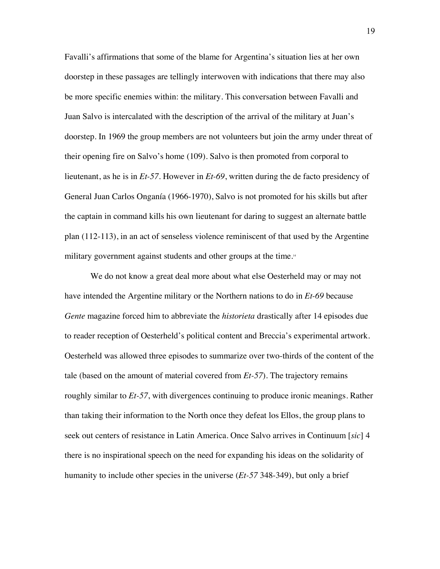Favalli's affirmations that some of the blame for Argentina's situation lies at her own doorstep in these passages are tellingly interwoven with indications that there may also be more specific enemies within: the military. This conversation between Favalli and Juan Salvo is intercalated with the description of the arrival of the military at Juan's doorstep. In 1969 the group members are not volunteers but join the army under threat of their opening fire on Salvo's home (109). Salvo is then promoted from corporal to lieutenant, as he is in *Et-57*. However in *Et-69*, written during the de facto presidency of General Juan Carlos Onganía (1966-1970), Salvo is not promoted for his skills but after the captain in command kills his own lieutenant for daring to suggest an alternate battle plan (112-113), in an act of senseless violence reminiscent of that used by the Argentine military government against students and other groups at the time.<sup>14</sup>

We do not know a great deal more about what else Oesterheld may or may not have intended the Argentine military or the Northern nations to do in *Et-69* because *Gente* magazine forced him to abbreviate the *historieta* drastically after 14 episodes due to reader reception of Oesterheld's political content and Breccia's experimental artwork. Oesterheld was allowed three episodes to summarize over two-thirds of the content of the tale (based on the amount of material covered from *Et-57*). The trajectory remains roughly similar to *Et-57*, with divergences continuing to produce ironic meanings. Rather than taking their information to the North once they defeat los Ellos, the group plans to seek out centers of resistance in Latin America. Once Salvo arrives in Continuum [*sic*] 4 there is no inspirational speech on the need for expanding his ideas on the solidarity of humanity to include other species in the universe (*Et-57* 348-349), but only a brief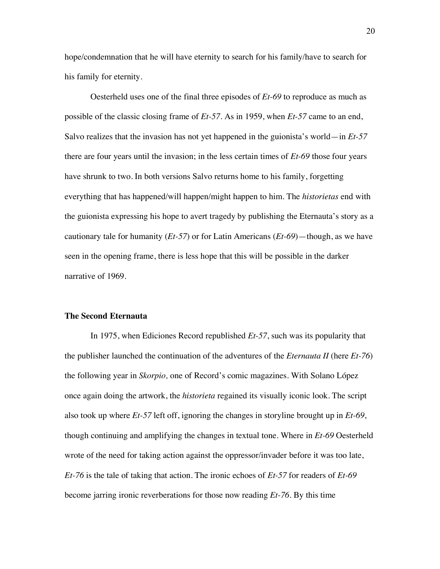hope/condemnation that he will have eternity to search for his family/have to search for his family for eternity.

Oesterheld uses one of the final three episodes of *Et-69* to reproduce as much as possible of the classic closing frame of *Et-57*. As in 1959, when *Et-57* came to an end, Salvo realizes that the invasion has not yet happened in the guionista's world—in *Et-57* there are four years until the invasion; in the less certain times of *Et-69* those four years have shrunk to two. In both versions Salvo returns home to his family, forgetting everything that has happened/will happen/might happen to him. The *historietas* end with the guionista expressing his hope to avert tragedy by publishing the Eternauta's story as a cautionary tale for humanity (*Et-57*) or for Latin Americans (*Et-69*)—though, as we have seen in the opening frame, there is less hope that this will be possible in the darker narrative of 1969.

## **The Second Eternauta**

In 1975, when Ediciones Record republished *Et-57*, such was its popularity that the publisher launched the continuation of the adventures of the *Eternauta II* (here *Et-76*) the following year in *Skorpio,* one of Record's comic magazines. With Solano López once again doing the artwork, the *historieta* regained its visually iconic look. The script also took up where *Et-57* left off, ignoring the changes in storyline brought up in *Et-69*, though continuing and amplifying the changes in textual tone. Where in *Et-69* Oesterheld wrote of the need for taking action against the oppressor/invader before it was too late, *Et-76* is the tale of taking that action. The ironic echoes of *Et-57* for readers of *Et-69* become jarring ironic reverberations for those now reading *Et-76*. By this time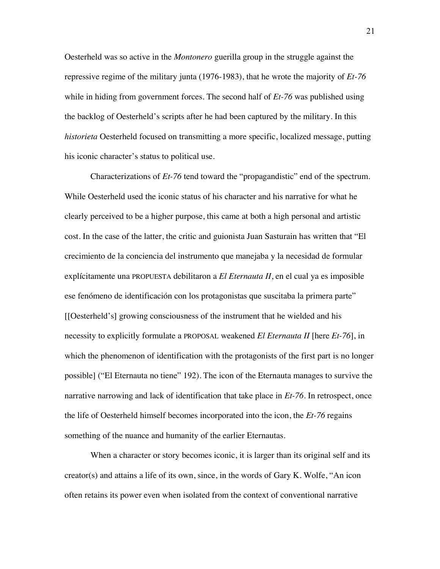Oesterheld was so active in the *Montonero* guerilla group in the struggle against the repressive regime of the military junta (1976-1983), that he wrote the majority of *Et-76* while in hiding from government forces. The second half of *Et-76* was published using the backlog of Oesterheld's scripts after he had been captured by the military. In this *historieta* Oesterheld focused on transmitting a more specific, localized message, putting his iconic character's status to political use.

Characterizations of *Et-76* tend toward the "propagandistic" end of the spectrum. While Oesterheld used the iconic status of his character and his narrative for what he clearly perceived to be a higher purpose, this came at both a high personal and artistic cost. In the case of the latter, the critic and guionista Juan Sasturain has written that "El crecimiento de la conciencia del instrumento que manejaba y la necesidad de formular explícitamente una PROPUESTA debilitaron a *El Eternauta II*, en el cual ya es imposible ese fenómeno de identificación con los protagonistas que suscitaba la primera parte" [[Oesterheld's] growing consciousness of the instrument that he wielded and his necessity to explicitly formulate a PROPOSAL weakened *El Eternauta II* [here *Et-76*], in which the phenomenon of identification with the protagonists of the first part is no longer possible] ("El Eternauta no tiene" 192). The icon of the Eternauta manages to survive the narrative narrowing and lack of identification that take place in *Et-76*. In retrospect, once the life of Oesterheld himself becomes incorporated into the icon, the *Et-76* regains something of the nuance and humanity of the earlier Eternautas.

When a character or story becomes iconic, it is larger than its original self and its creator(s) and attains a life of its own, since, in the words of Gary K. Wolfe, "An icon often retains its power even when isolated from the context of conventional narrative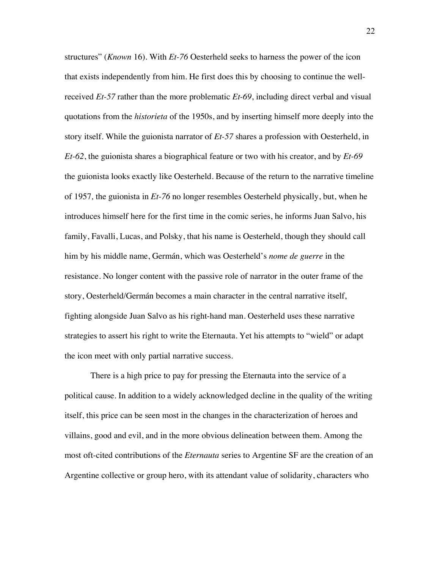structures" (*Known* 16). With *Et-76* Oesterheld seeks to harness the power of the icon that exists independently from him. He first does this by choosing to continue the wellreceived *Et-57* rather than the more problematic *Et-69*, including direct verbal and visual quotations from the *historieta* of the 1950s, and by inserting himself more deeply into the story itself. While the guionista narrator of *Et-57* shares a profession with Oesterheld, in *Et-62*, the guionista shares a biographical feature or two with his creator, and by *Et-69* the guionista looks exactly like Oesterheld. Because of the return to the narrative timeline of 1957*,* the guionista in *Et-76* no longer resembles Oesterheld physically, but, when he introduces himself here for the first time in the comic series, he informs Juan Salvo, his family, Favalli, Lucas, and Polsky, that his name is Oesterheld, though they should call him by his middle name, Germán, which was Oesterheld's *nome de guerre* in the resistance. No longer content with the passive role of narrator in the outer frame of the story, Oesterheld/Germán becomes a main character in the central narrative itself, fighting alongside Juan Salvo as his right-hand man. Oesterheld uses these narrative strategies to assert his right to write the Eternauta. Yet his attempts to "wield" or adapt the icon meet with only partial narrative success.

There is a high price to pay for pressing the Eternauta into the service of a political cause. In addition to a widely acknowledged decline in the quality of the writing itself, this price can be seen most in the changes in the characterization of heroes and villains, good and evil, and in the more obvious delineation between them. Among the most oft-cited contributions of the *Eternauta* series to Argentine SF are the creation of an Argentine collective or group hero, with its attendant value of solidarity, characters who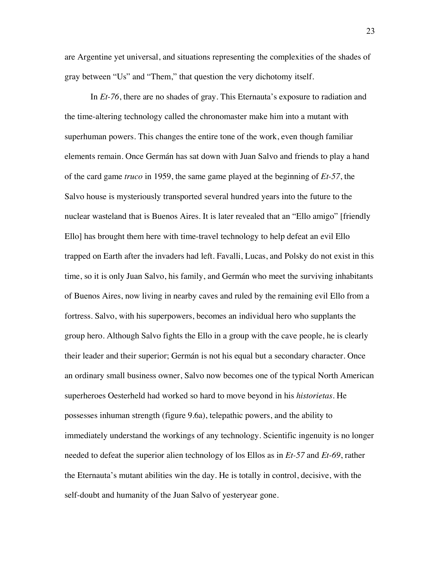are Argentine yet universal, and situations representing the complexities of the shades of gray between "Us" and "Them," that question the very dichotomy itself.

In *Et-76*, there are no shades of gray. This Eternauta's exposure to radiation and the time-altering technology called the chronomaster make him into a mutant with superhuman powers. This changes the entire tone of the work, even though familiar elements remain. Once Germán has sat down with Juan Salvo and friends to play a hand of the card game *truco* in 1959, the same game played at the beginning of *Et-57*, the Salvo house is mysteriously transported several hundred years into the future to the nuclear wasteland that is Buenos Aires. It is later revealed that an "Ello amigo" [friendly Ello] has brought them here with time-travel technology to help defeat an evil Ello trapped on Earth after the invaders had left. Favalli, Lucas, and Polsky do not exist in this time, so it is only Juan Salvo, his family, and Germán who meet the surviving inhabitants of Buenos Aires, now living in nearby caves and ruled by the remaining evil Ello from a fortress. Salvo, with his superpowers, becomes an individual hero who supplants the group hero. Although Salvo fights the Ello in a group with the cave people, he is clearly their leader and their superior; Germán is not his equal but a secondary character. Once an ordinary small business owner, Salvo now becomes one of the typical North American superheroes Oesterheld had worked so hard to move beyond in his *historietas*. He possesses inhuman strength (figure 9.6a), telepathic powers, and the ability to immediately understand the workings of any technology. Scientific ingenuity is no longer needed to defeat the superior alien technology of los Ellos as in *Et-57* and *Et-69*, rather the Eternauta's mutant abilities win the day. He is totally in control, decisive, with the self-doubt and humanity of the Juan Salvo of yesteryear gone.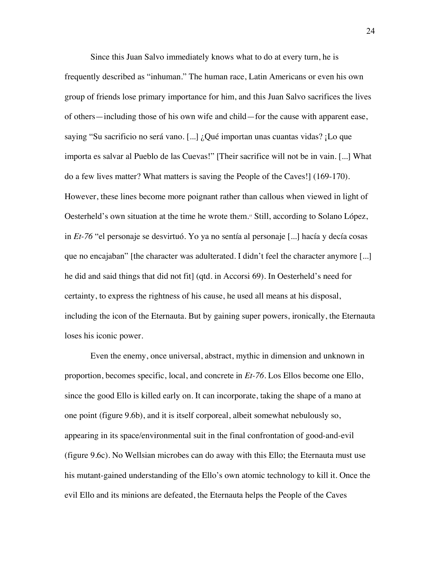Since this Juan Salvo immediately knows what to do at every turn, he is frequently described as "inhuman." The human race, Latin Americans or even his own group of friends lose primary importance for him, and this Juan Salvo sacrifices the lives of others—including those of his own wife and child—for the cause with apparent ease, saying "Su sacrificio no será vano. [...] ¿Qué importan unas cuantas vidas? ¡Lo que importa es salvar al Pueblo de las Cuevas!" [Their sacrifice will not be in vain. [...] What do a few lives matter? What matters is saving the People of the Caves!] (169-170). However, these lines become more poignant rather than callous when viewed in light of Oesterheld's own situation at the time he wrote them.15 Still, according to Solano López, in *Et-76* "el personaje se desvirtuó. Yo ya no sentía al personaje [...] hacía y decía cosas que no encajaban" [the character was adulterated. I didn't feel the character anymore [...] he did and said things that did not fit] (qtd. in Accorsi 69). In Oesterheld's need for certainty, to express the rightness of his cause, he used all means at his disposal, including the icon of the Eternauta. But by gaining super powers, ironically, the Eternauta loses his iconic power.

Even the enemy, once universal, abstract, mythic in dimension and unknown in proportion, becomes specific, local, and concrete in *Et-76*. Los Ellos become one Ello, since the good Ello is killed early on. It can incorporate, taking the shape of a mano at one point (figure 9.6b), and it is itself corporeal, albeit somewhat nebulously so, appearing in its space/environmental suit in the final confrontation of good-and-evil (figure 9.6c). No Wellsian microbes can do away with this Ello; the Eternauta must use his mutant-gained understanding of the Ello's own atomic technology to kill it. Once the evil Ello and its minions are defeated, the Eternauta helps the People of the Caves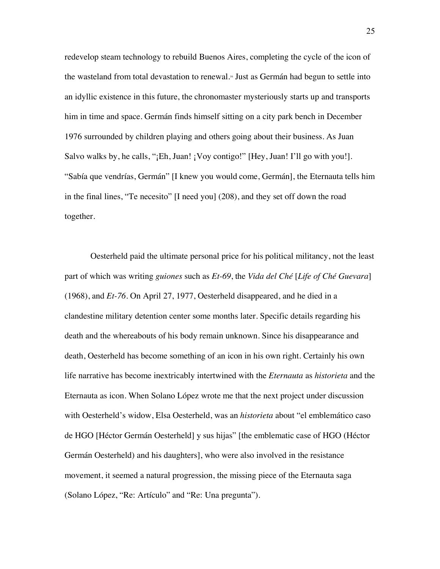redevelop steam technology to rebuild Buenos Aires, completing the cycle of the icon of the wasteland from total devastation to renewal.16 Just as Germán had begun to settle into an idyllic existence in this future, the chronomaster mysteriously starts up and transports him in time and space. Germán finds himself sitting on a city park bench in December 1976 surrounded by children playing and others going about their business. As Juan Salvo walks by, he calls, "¡Eh, Juan! ¡Voy contigo!" [Hey, Juan! I'll go with you!]. "Sabía que vendrías, Germán" [I knew you would come, Germán], the Eternauta tells him in the final lines, "Te necesito" [I need you] (208), and they set off down the road together.

Oesterheld paid the ultimate personal price for his political militancy, not the least part of which was writing *guiones* such as *Et-69*, the *Vida del Ché* [*Life of Ché Guevara*] (1968), and *Et-76*. On April 27, 1977, Oesterheld disappeared, and he died in a clandestine military detention center some months later. Specific details regarding his death and the whereabouts of his body remain unknown. Since his disappearance and death, Oesterheld has become something of an icon in his own right. Certainly his own life narrative has become inextricably intertwined with the *Eternauta* as *historieta* and the Eternauta as icon. When Solano López wrote me that the next project under discussion with Oesterheld's widow, Elsa Oesterheld, was an *historieta* about "el emblemático caso de HGO [Héctor Germán Oesterheld] y sus hijas" [the emblematic case of HGO (Héctor Germán Oesterheld) and his daughters], who were also involved in the resistance movement, it seemed a natural progression, the missing piece of the Eternauta saga (Solano López, "Re: Artículo" and "Re: Una pregunta").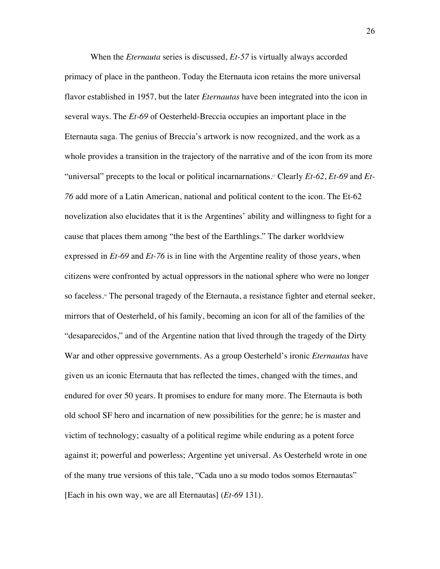When the *Eternauta* series is discussed, *Et-57* is virtually always accorded primacy of place in the pantheon. Today the Eternauta icon retains the more universal flavor established in 1957, but the later *Eternautas* have been integrated into the icon in several ways. The *Et-69* of Oesterheld-Breccia occupies an important place in the Eternauta saga. The genius of Breccia's artwork is now recognized, and the work as a whole provides a transition in the trajectory of the narrative and of the icon from its more "universal" precepts to the local or political incarnarnations.17 Clearly *Et-62*, *Et-69* and *Et-76* add more of a Latin American, national and political content to the icon. The Et-62 novelization also elucidates that it is the Argentines' ability and willingness to fight for a cause that places them among "the best of the Earthlings." The darker worldview expressed in *Et-69* and *Et-76* is in line with the Argentine reality of those years, when citizens were confronted by actual oppressors in the national sphere who were no longer so faceless.<sup>18</sup> The personal tragedy of the Eternauta, a resistance fighter and eternal seeker, mirrors that of Oesterheld, of his family, becoming an icon for all of the families of the "desaparecidos," and of the Argentine nation that lived through the tragedy of the Dirty War and other oppressive governments. As a group Oesterheld's ironic *Eternautas* have given us an iconic Eternauta that has reflected the times, changed with the times, and endured for over 50 years. It promises to endure for many more. The Eternauta is both old school SF hero and incarnation of new possibilities for the genre; he is master and victim of technology; casualty of a political regime while enduring as a potent force against it; powerful and powerless; Argentine yet universal. As Oesterheld wrote in one of the many true versions of this tale, "Cada uno a su modo todos somos Eternautas" [Each in his own way, we are all Eternautas] (*Et-69* 131).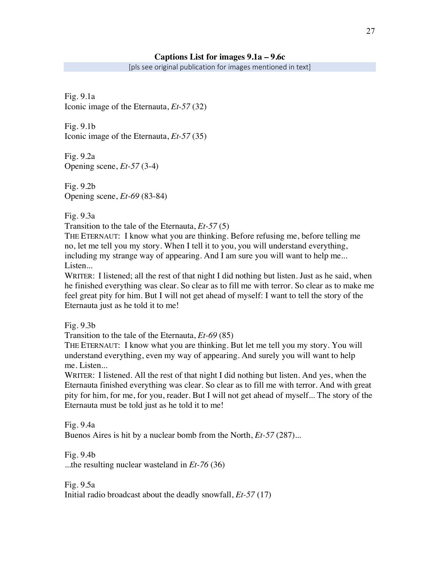## **Captions List for images 9.1a – 9.6c**

[pls see original publication for images mentioned in text]

Fig. 9.1a Iconic image of the Eternauta, *Et-57* (32)

Fig. 9.1b Iconic image of the Eternauta, *Et-57* (35)

Fig. 9.2a Opening scene, *Et-57* (3-4)

Fig. 9.2b Opening scene, *Et-69* (83-84)

Fig. 9.3a

Transition to the tale of the Eternauta, *Et-57* (5)

THE ETERNAUT: I know what you are thinking. Before refusing me, before telling me no, let me tell you my story. When I tell it to you, you will understand everything, including my strange way of appearing. And I am sure you will want to help me... Listen...

WRITER: I listened; all the rest of that night I did nothing but listen. Just as he said, when he finished everything was clear. So clear as to fill me with terror. So clear as to make me feel great pity for him. But I will not get ahead of myself: I want to tell the story of the Eternauta just as he told it to me!

Fig. 9.3b

Transition to the tale of the Eternauta, *Et-69* (85)

THE ETERNAUT: I know what you are thinking. But let me tell you my story. You will understand everything, even my way of appearing. And surely you will want to help me. Listen...

WRITER: I listened. All the rest of that night I did nothing but listen. And yes, when the Eternauta finished everything was clear. So clear as to fill me with terror. And with great pity for him, for me, for you, reader. But I will not get ahead of myself... The story of the Eternauta must be told just as he told it to me!

Fig. 9.4a Buenos Aires is hit by a nuclear bomb from the North, *Et-57* (287)...

Fig. 9.4b ...the resulting nuclear wasteland in *Et-76* (36)

Fig. 9.5a Initial radio broadcast about the deadly snowfall, *Et-57* (17)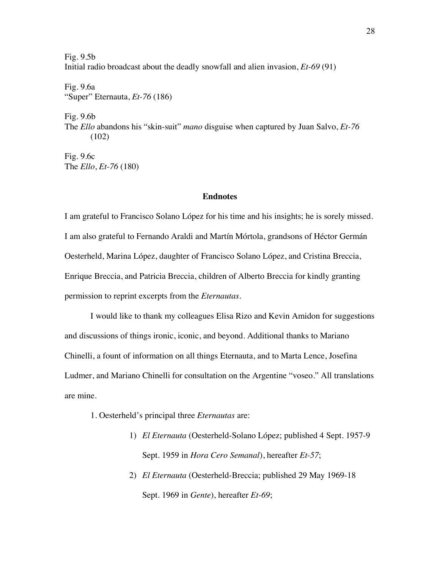Fig. 9.5b Initial radio broadcast about the deadly snowfall and alien invasion, *Et-69* (91)

Fig. 9.6a "Super" Eternauta, *Et-76* (186)

Fig. 9.6b The *Ello* abandons his "skin-suit" *mano* disguise when captured by Juan Salvo, *Et-76* (102)

Fig. 9.6c The *Ello*, *Et-76* (180)

#### **Endnotes**

I am grateful to Francisco Solano López for his time and his insights; he is sorely missed. I am also grateful to Fernando Araldi and Martín Mórtola, grandsons of Héctor Germán Oesterheld, Marina López, daughter of Francisco Solano López, and Cristina Breccia, Enrique Breccia, and Patricia Breccia, children of Alberto Breccia for kindly granting permission to reprint excerpts from the *Eternautas*.

I would like to thank my colleagues Elisa Rizo and Kevin Amidon for suggestions and discussions of things ironic, iconic, and beyond. Additional thanks to Mariano Chinelli, a fount of information on all things Eternauta, and to Marta Lence, Josefina Ludmer, and Mariano Chinelli for consultation on the Argentine "voseo." All translations are mine.

1. Oesterheld's principal three *Eternautas* are:

- 1) *El Eternauta* (Oesterheld-Solano López; published 4 Sept. 1957-9 Sept. 1959 in *Hora Cero Semanal*), hereafter *Et-57*;
- 2) *El Eternauta* (Oesterheld-Breccia; published 29 May 1969-18 Sept. 1969 in *Gente*), hereafter *Et-69*;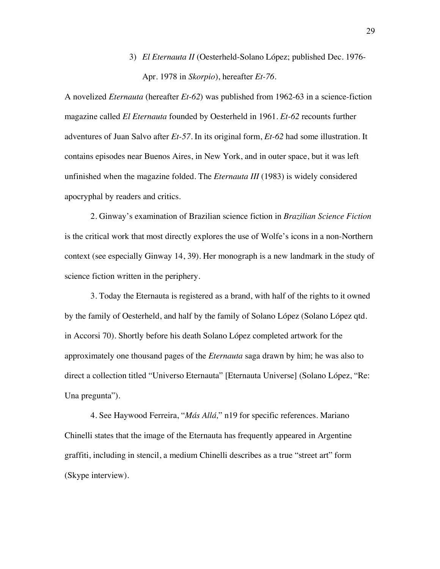# 3) *El Eternauta II* (Oesterheld-Solano López; published Dec. 1976- Apr. 1978 in *Skorpio*), hereafter *Et-76*.

A novelized *Eternauta* (hereafter *Et-62*) was published from 1962-63 in a science-fiction magazine called *El Eternauta* founded by Oesterheld in 1961. *Et-62* recounts further adventures of Juan Salvo after *Et-57*. In its original form, *Et-62* had some illustration. It contains episodes near Buenos Aires, in New York, and in outer space, but it was left unfinished when the magazine folded. The *Eternauta III* (1983) is widely considered apocryphal by readers and critics.

2. Ginway's examination of Brazilian science fiction in *Brazilian Science Fiction* is the critical work that most directly explores the use of Wolfe's icons in a non-Northern context (see especially Ginway 14, 39). Her monograph is a new landmark in the study of science fiction written in the periphery.

3. Today the Eternauta is registered as a brand, with half of the rights to it owned by the family of Oesterheld, and half by the family of Solano López (Solano López qtd. in Accorsi 70). Shortly before his death Solano López completed artwork for the approximately one thousand pages of the *Eternauta* saga drawn by him; he was also to direct a collection titled "Universo Eternauta" [Eternauta Universe] (Solano López, "Re: Una pregunta").

4. See Haywood Ferreira, "*Más Allá,*" n19 for specific references. Mariano Chinelli states that the image of the Eternauta has frequently appeared in Argentine graffiti, including in stencil, a medium Chinelli describes as a true "street art" form (Skype interview).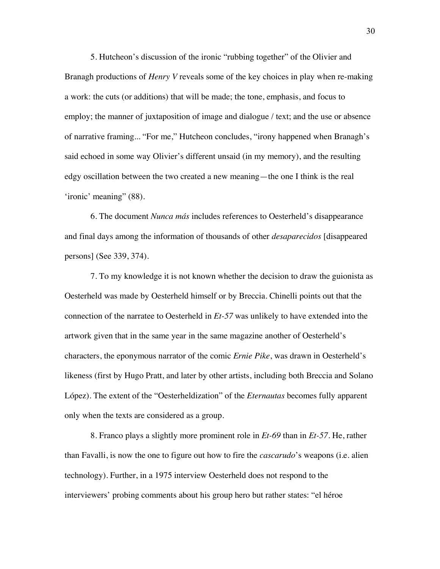5. Hutcheon's discussion of the ironic "rubbing together" of the Olivier and Branagh productions of *Henry V* reveals some of the key choices in play when re-making a work: the cuts (or additions) that will be made; the tone, emphasis, and focus to employ; the manner of juxtaposition of image and dialogue / text; and the use or absence of narrative framing... "For me," Hutcheon concludes, "irony happened when Branagh's said echoed in some way Olivier's different unsaid (in my memory), and the resulting edgy oscillation between the two created a new meaning—the one I think is the real 'ironic' meaning" (88).

6. The document *Nunca más* includes references to Oesterheld's disappearance and final days among the information of thousands of other *desaparecidos* [disappeared persons] (See 339, 374).

7. To my knowledge it is not known whether the decision to draw the guionista as Oesterheld was made by Oesterheld himself or by Breccia. Chinelli points out that the connection of the narratee to Oesterheld in *Et-57* was unlikely to have extended into the artwork given that in the same year in the same magazine another of Oesterheld's characters, the eponymous narrator of the comic *Ernie Pike*, was drawn in Oesterheld's likeness (first by Hugo Pratt, and later by other artists, including both Breccia and Solano López). The extent of the "Oesterheldization" of the *Eternautas* becomes fully apparent only when the texts are considered as a group.

8. Franco plays a slightly more prominent role in *Et-69* than in *Et-57*. He, rather than Favalli, is now the one to figure out how to fire the *cascarudo*'s weapons (i.e. alien technology). Further, in a 1975 interview Oesterheld does not respond to the interviewers' probing comments about his group hero but rather states: "el héroe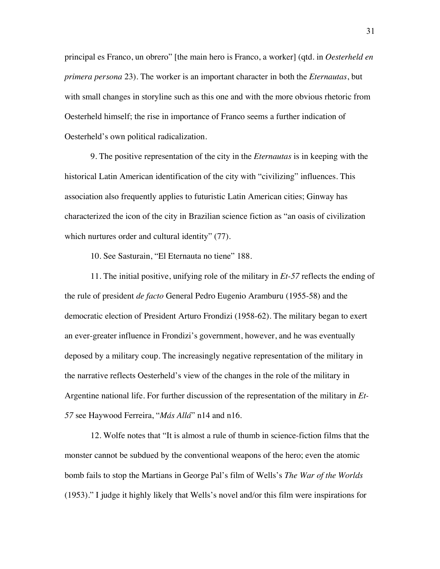principal es Franco, un obrero" [the main hero is Franco, a worker] (qtd. in *Oesterheld en primera persona* 23). The worker is an important character in both the *Eternautas*, but with small changes in storyline such as this one and with the more obvious rhetoric from Oesterheld himself; the rise in importance of Franco seems a further indication of Oesterheld's own political radicalization.

9. The positive representation of the city in the *Eternautas* is in keeping with the historical Latin American identification of the city with "civilizing" influences. This association also frequently applies to futuristic Latin American cities; Ginway has characterized the icon of the city in Brazilian science fiction as "an oasis of civilization which nurtures order and cultural identity" (77).

10. See Sasturain, "El Eternauta no tiene" 188.

11. The initial positive, unifying role of the military in *Et-57* reflects the ending of the rule of president *de facto* General Pedro Eugenio Aramburu (1955-58) and the democratic election of President Arturo Frondizi (1958-62). The military began to exert an ever-greater influence in Frondizi's government, however, and he was eventually deposed by a military coup. The increasingly negative representation of the military in the narrative reflects Oesterheld's view of the changes in the role of the military in Argentine national life. For further discussion of the representation of the military in *Et-57* see Haywood Ferreira, "*Más Allá*" n14 and n16.

12. Wolfe notes that "It is almost a rule of thumb in science-fiction films that the monster cannot be subdued by the conventional weapons of the hero; even the atomic bomb fails to stop the Martians in George Pal's film of Wells's *The War of the Worlds* (1953)." I judge it highly likely that Wells's novel and/or this film were inspirations for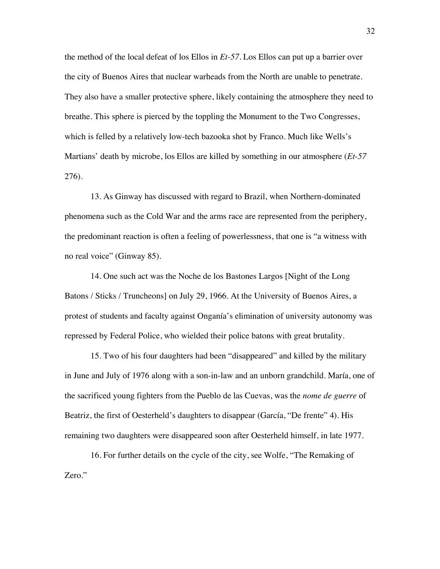the method of the local defeat of los Ellos in *Et-57*. Los Ellos can put up a barrier over the city of Buenos Aires that nuclear warheads from the North are unable to penetrate. They also have a smaller protective sphere, likely containing the atmosphere they need to breathe. This sphere is pierced by the toppling the Monument to the Two Congresses, which is felled by a relatively low-tech bazooka shot by Franco. Much like Wells's Martians' death by microbe, los Ellos are killed by something in our atmosphere (*Et-57*  276).

13. As Ginway has discussed with regard to Brazil, when Northern-dominated phenomena such as the Cold War and the arms race are represented from the periphery, the predominant reaction is often a feeling of powerlessness, that one is "a witness with no real voice" (Ginway 85).

14. One such act was the Noche de los Bastones Largos [Night of the Long Batons / Sticks / Truncheons] on July 29, 1966. At the University of Buenos Aires, a protest of students and faculty against Onganía's elimination of university autonomy was repressed by Federal Police, who wielded their police batons with great brutality.

15. Two of his four daughters had been "disappeared" and killed by the military in June and July of 1976 along with a son-in-law and an unborn grandchild. María, one of the sacrificed young fighters from the Pueblo de las Cuevas, was the *nome de guerre* of Beatriz, the first of Oesterheld's daughters to disappear (García, "De frente" 4). His remaining two daughters were disappeared soon after Oesterheld himself, in late 1977.

16. For further details on the cycle of the city, see Wolfe, "The Remaking of Zero."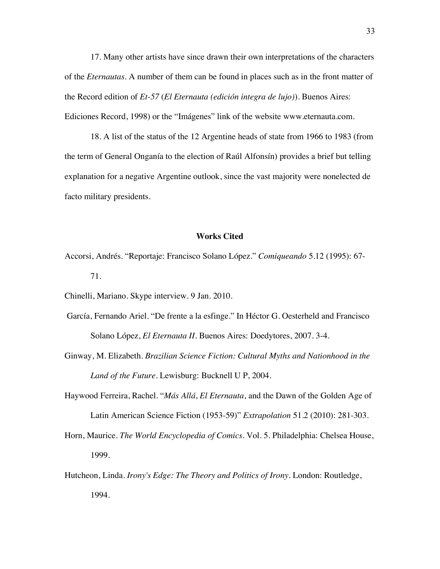17. Many other artists have since drawn their own interpretations of the characters of the *Eternautas*. A number of them can be found in places such as in the front matter of the Record edition of *Et-57* (*El Eternauta (edición integra de lujo)*). Buenos Aires: Ediciones Record, 1998) or the "Imágenes" link of the website www.eternauta.com.

18. A list of the status of the 12 Argentine heads of state from 1966 to 1983 (from the term of General Onganía to the election of Raúl Alfonsín) provides a brief but telling explanation for a negative Argentine outlook, since the vast majority were nonelected de facto military presidents.

#### **Works Cited**

Accorsi, Andrés. "Reportaje: Francisco Solano López." *Comiqueando* 5.12 (1995): 67- 71.

Chinelli, Mariano. Skype interview. 9 Jan. 2010.

- García, Fernando Ariel. "De frente a la esfinge." In Héctor G. Oesterheld and Francisco Solano López, *El Eternauta II*. Buenos Aires: Doedytores, 2007. 3-4.
- Ginway, M. Elizabeth. *Brazilian Science Fiction: Cultural Myths and Nationhood in the Land of the Future*. Lewisburg: Bucknell U P, 2004.
- Haywood Ferreira, Rachel. "*Más Allá*, *El Eternauta*, and the Dawn of the Golden Age of Latin American Science Fiction (1953-59)" *Extrapolation* 51.2 (2010): 281-303.
- Horn, Maurice. *The World Encyclopedia of Comics*. Vol. 5. Philadelphia: Chelsea House, 1999.
- Hutcheon, Linda. *Irony's Edge: The Theory and Politics of Irony*. London: Routledge, 1994.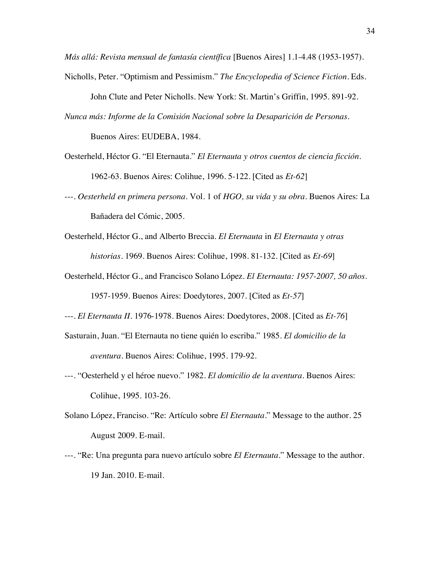*Más allá: Revista mensual de fantasía científica* [Buenos Aires] 1.1-4.48 (1953-1957).

Nicholls, Peter. "Optimism and Pessimism." *The Encyclopedia of Science Fiction*. Eds.

John Clute and Peter Nicholls. New York: St. Martin's Griffin, 1995. 891-92.

- *Nunca más: Informe de la Comisión Nacional sobre la Desaparición de Personas*. Buenos Aires: EUDEBA, 1984.
- Oesterheld, Héctor G. "El Eternauta." *El Eternauta y otros cuentos de ciencia ficción*. 1962-63. Buenos Aires: Colihue, 1996. 5-122. [Cited as *Et-62*]
- ---. *Oesterheld en primera persona.* Vol. 1 of *HGO, su vida y su obra*. Buenos Aires: La Bañadera del Cómic, 2005.
- Oesterheld, Héctor G., and Alberto Breccia. *El Eternauta* in *El Eternauta y otras historias*. 1969. Buenos Aires: Colihue, 1998. 81-132. [Cited as *Et-69*]
- Oesterheld, Héctor G., and Francisco Solano López. *El Eternauta: 1957-2007, 50 años*. 1957-1959. Buenos Aires: Doedytores, 2007. [Cited as *Et-57*]
- ---. *El Eternauta II*. 1976-1978. Buenos Aires: Doedytores, 2008. [Cited as *Et-76*]
- Sasturain, Juan. "El Eternauta no tiene quién lo escriba." 1985. *El domicilio de la aventura*. Buenos Aires: Colihue, 1995. 179-92.
- ---. "Oesterheld y el héroe nuevo." 1982. *El domicilio de la aventura*. Buenos Aires: Colihue, 1995. 103-26.
- Solano López, Franciso. "Re: Artículo sobre *El Eternauta*." Message to the author. 25 August 2009. E-mail.
- ---. "Re: Una pregunta para nuevo artículo sobre *El Eternauta*." Message to the author. 19 Jan. 2010. E-mail.